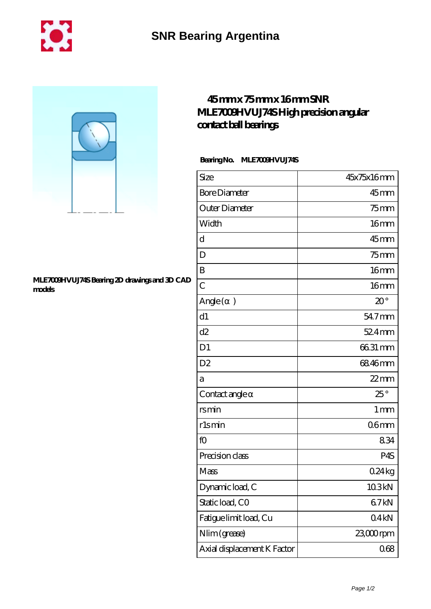



## **[MLE7009HVUJ74S Bearing 2D drawings and 3D CAD](https://m.chilcotinlodge.com/pic-64959856.html) [models](https://m.chilcotinlodge.com/pic-64959856.html)**

## **[45 mm x 75 mm x 16 mm SNR](https://m.chilcotinlodge.com/bz-64959856-snr-mle7009hvuj74s-high-precision-angular-contact-ball-bearings.html) [MLE7009HVUJ74S High precision angular](https://m.chilcotinlodge.com/bz-64959856-snr-mle7009hvuj74s-high-precision-angular-contact-ball-bearings.html) [contact ball bearings](https://m.chilcotinlodge.com/bz-64959856-snr-mle7009hvuj74s-high-precision-angular-contact-ball-bearings.html)**

 **Bearing No. MLE7009HVUJ74S**

| Size                        | 45x75x16mm         |
|-----------------------------|--------------------|
| <b>Bore Diameter</b>        | $45$ <sub>mm</sub> |
| Outer Diameter              | $75$ mm            |
| Width                       | 16mm               |
| d                           | $45$ mm            |
| D                           | $75$ mm            |
| B                           | 16mm               |
| $\overline{C}$              | 16mm               |
| Angle (<br>$\big)$          | $20^{\circ}$       |
| d1                          | 54.7mm             |
| d2                          | $524$ mm           |
| D1                          | 66.31 mm           |
| D <sub>2</sub>              | 68.46mm            |
| a                           | $22$ mm            |
| Contact angle               | $25^\circ$         |
| rsmin                       | 1 <sub>mm</sub>    |
| rlsmin                      | 06mm               |
| fO                          | 834                |
| Precision class             | P4S                |
| Mass                        | 0.24kg             |
| Dynamic load, C             | 103kN              |
| Static load, CO             | 67kN               |
| Fatigue limit load, Cu      | 04kN               |
| Nlim (grease)               | $2300$ rpm         |
| Axial displacement K Factor | 068                |